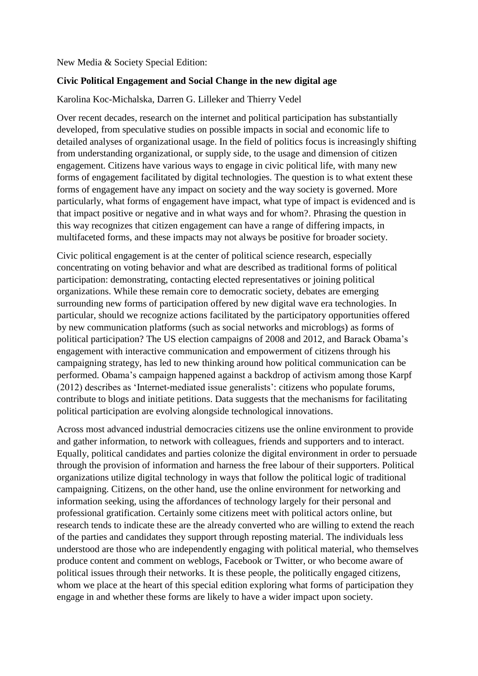New Media & Society Special Edition:

# **Civic Political Engagement and Social Change in the new digital age**

Karolina Koc-Michalska, Darren G. Lilleker and Thierry Vedel

Over recent decades, research on the internet and political participation has substantially developed, from speculative studies on possible impacts in social and economic life to detailed analyses of organizational usage. In the field of politics focus is increasingly shifting from understanding organizational, or supply side, to the usage and dimension of citizen engagement. Citizens have various ways to engage in civic political life, with many new forms of engagement facilitated by digital technologies. The question is to what extent these forms of engagement have any impact on society and the way society is governed. More particularly, what forms of engagement have impact, what type of impact is evidenced and is that impact positive or negative and in what ways and for whom?. Phrasing the question in this way recognizes that citizen engagement can have a range of differing impacts, in multifaceted forms, and these impacts may not always be positive for broader society.

Civic political engagement is at the center of political science research, especially concentrating on voting behavior and what are described as traditional forms of political participation: demonstrating, contacting elected representatives or joining political organizations. While these remain core to democratic society, debates are emerging surrounding new forms of participation offered by new digital wave era technologies. In particular, should we recognize actions facilitated by the participatory opportunities offered by new communication platforms (such as social networks and microblogs) as forms of political participation? The US election campaigns of 2008 and 2012, and Barack Obama's engagement with interactive communication and empowerment of citizens through his campaigning strategy, has led to new thinking around how political communication can be performed. Obama's campaign happened against a backdrop of activism among those Karpf (2012) describes as 'Internet-mediated issue generalists': citizens who populate forums, contribute to blogs and initiate petitions. Data suggests that the mechanisms for facilitating political participation are evolving alongside technological innovations.

Across most advanced industrial democracies citizens use the online environment to provide and gather information, to network with colleagues, friends and supporters and to interact. Equally, political candidates and parties colonize the digital environment in order to persuade through the provision of information and harness the free labour of their supporters. Political organizations utilize digital technology in ways that follow the political logic of traditional campaigning. Citizens, on the other hand, use the online environment for networking and information seeking, using the affordances of technology largely for their personal and professional gratification. Certainly some citizens meet with political actors online, but research tends to indicate these are the already converted who are willing to extend the reach of the parties and candidates they support through reposting material. The individuals less understood are those who are independently engaging with political material, who themselves produce content and comment on weblogs, Facebook or Twitter, or who become aware of political issues through their networks. It is these people, the politically engaged citizens, whom we place at the heart of this special edition exploring what forms of participation they engage in and whether these forms are likely to have a wider impact upon society.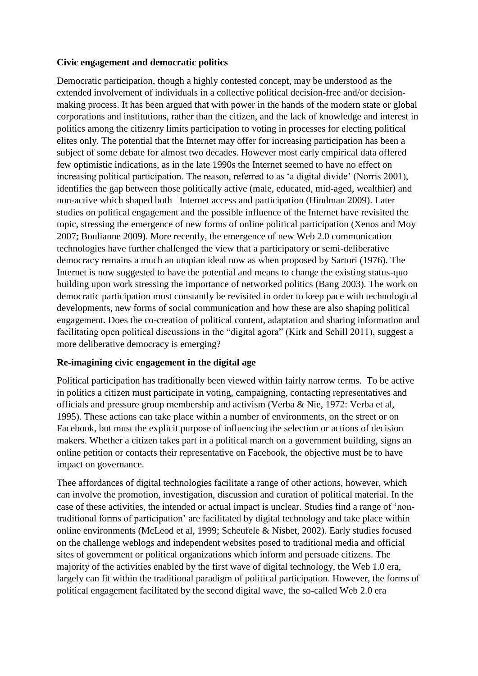## **Civic engagement and democratic politics**

Democratic participation, though a highly contested concept, may be understood as the extended involvement of individuals in a collective political decision-free and/or decisionmaking process. It has been argued that with power in the hands of the modern state or global corporations and institutions, rather than the citizen, and the lack of knowledge and interest in politics among the citizenry limits participation to voting in processes for electing political elites only. The potential that the Internet may offer for increasing participation has been a subject of some debate for almost two decades. However most early empirical data offered few optimistic indications, as in the late 1990s the Internet seemed to have no effect on increasing political participation. The reason, referred to as 'a digital divide' (Norris 2001), identifies the gap between those politically active (male, educated, mid-aged, wealthier) and non-active which shaped both Internet access and participation (Hindman 2009). Later studies on political engagement and the possible influence of the Internet have revisited the topic, stressing the emergence of new forms of online political participation (Xenos and Moy 2007; Boulianne 2009). More recently, the emergence of new Web 2.0 communication technologies have further challenged the view that a participatory or semi-deliberative democracy remains a much an utopian ideal now as when proposed by Sartori (1976). The Internet is now suggested to have the potential and means to change the existing status-quo building upon work stressing the importance of networked politics (Bang 2003). The work on democratic participation must constantly be revisited in order to keep pace with technological developments, new forms of social communication and how these are also shaping political engagement. Does the co-creation of political content, adaptation and sharing information and facilitating open political discussions in the "digital agora" (Kirk and Schill 2011), suggest a more deliberative democracy is emerging?

## **Re-imagining civic engagement in the digital age**

Political participation has traditionally been viewed within fairly narrow terms. To be active in politics a citizen must participate in voting, campaigning, contacting representatives and officials and pressure group membership and activism (Verba & Nie, 1972: Verba et al, 1995). These actions can take place within a number of environments, on the street or on Facebook, but must the explicit purpose of influencing the selection or actions of decision makers. Whether a citizen takes part in a political march on a government building, signs an online petition or contacts their representative on Facebook, the objective must be to have impact on governance.

Thee affordances of digital technologies facilitate a range of other actions, however, which can involve the promotion, investigation, discussion and curation of political material. In the case of these activities, the intended or actual impact is unclear. Studies find a range of 'nontraditional forms of participation' are facilitated by digital technology and take place within online environments (McLeod et al, 1999; Scheufele & Nisbet, 2002). Early studies focused on the challenge weblogs and independent websites posed to traditional media and official sites of government or political organizations which inform and persuade citizens. The majority of the activities enabled by the first wave of digital technology, the Web 1.0 era, largely can fit within the traditional paradigm of political participation. However, the forms of political engagement facilitated by the second digital wave, the so-called Web 2.0 era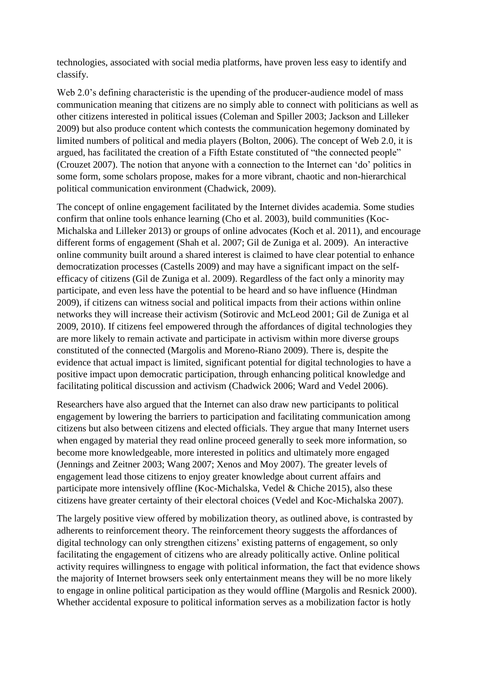technologies, associated with social media platforms, have proven less easy to identify and classify.

Web 2.0's defining characteristic is the upending of the producer-audience model of mass communication meaning that citizens are no simply able to connect with politicians as well as other citizens interested in political issues (Coleman and Spiller 2003; Jackson and Lilleker 2009) but also produce content which contests the communication hegemony dominated by limited numbers of political and media players (Bolton, 2006). The concept of Web 2.0, it is argued, has facilitated the creation of a Fifth Estate constituted of "the connected people" (Crouzet 2007). The notion that anyone with a connection to the Internet can 'do' politics in some form, some scholars propose, makes for a more vibrant, chaotic and non-hierarchical political communication environment (Chadwick, 2009).

The concept of online engagement facilitated by the Internet divides academia. Some studies confirm that online tools enhance learning (Cho et al. 2003), build communities (Koc-Michalska and Lilleker 2013) or groups of online advocates (Koch et al. 2011), and encourage different forms of engagement (Shah et al. 2007; Gil de Zuniga et al. 2009). An interactive online community built around a shared interest is claimed to have clear potential to enhance democratization processes (Castells 2009) and may have a significant impact on the selfefficacy of citizens (Gil de Zuniga et al. 2009). Regardless of the fact only a minority may participate, and even less have the potential to be heard and so have influence (Hindman 2009), if citizens can witness social and political impacts from their actions within online networks they will increase their activism (Sotirovic and McLeod 2001; Gil de Zuniga et al 2009, 2010). If citizens feel empowered through the affordances of digital technologies they are more likely to remain activate and participate in activism within more diverse groups constituted of the connected (Margolis and Moreno-Riano 2009). There is, despite the evidence that actual impact is limited, significant potential for digital technologies to have a positive impact upon democratic participation, through enhancing political knowledge and facilitating political discussion and activism (Chadwick 2006; Ward and Vedel 2006).

Researchers have also argued that the Internet can also draw new participants to political engagement by lowering the barriers to participation and facilitating communication among citizens but also between citizens and elected officials. They argue that many Internet users when engaged by material they read online proceed generally to seek more information, so become more knowledgeable, more interested in politics and ultimately more engaged (Jennings and Zeitner 2003; Wang 2007; Xenos and Moy 2007). The greater levels of engagement lead those citizens to enjoy greater knowledge about current affairs and participate more intensively offline (Koc-Michalska, Vedel & Chiche 2015), also these citizens have greater certainty of their electoral choices (Vedel and Koc-Michalska 2007).

The largely positive view offered by mobilization theory, as outlined above, is contrasted by adherents to reinforcement theory. The reinforcement theory suggests the affordances of digital technology can only strengthen citizens' existing patterns of engagement, so only facilitating the engagement of citizens who are already politically active. Online political activity requires willingness to engage with political information, the fact that evidence shows the majority of Internet browsers seek only entertainment means they will be no more likely to engage in online political participation as they would offline (Margolis and Resnick 2000). Whether accidental exposure to political information serves as a mobilization factor is hotly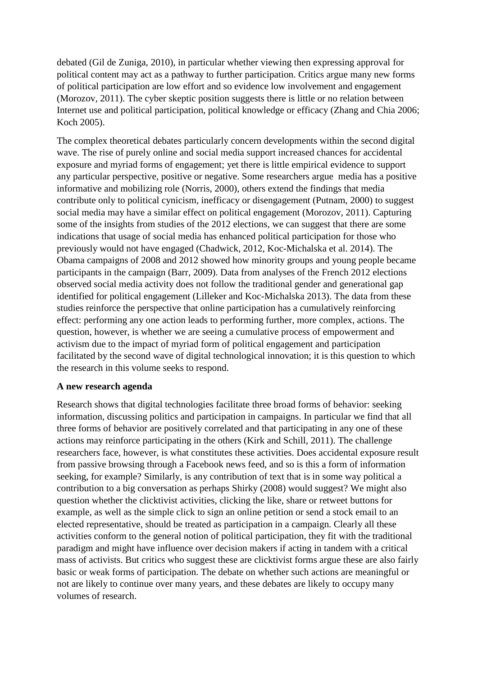debated (Gil de Zuniga, 2010), in particular whether viewing then expressing approval for political content may act as a pathway to further participation. Critics argue many new forms of political participation are low effort and so evidence low involvement and engagement (Morozov, 2011). The cyber skeptic position suggests there is little or no relation between Internet use and political participation, political knowledge or efficacy (Zhang and Chia 2006; Koch 2005).

The complex theoretical debates particularly concern developments within the second digital wave. The rise of purely online and social media support increased chances for accidental exposure and myriad forms of engagement; yet there is little empirical evidence to support any particular perspective, positive or negative. Some researchers argue media has a positive informative and mobilizing role (Norris, 2000), others extend the findings that media contribute only to political cynicism, inefficacy or disengagement (Putnam, 2000) to suggest social media may have a similar effect on political engagement (Morozov, 2011). Capturing some of the insights from studies of the 2012 elections, we can suggest that there are some indications that usage of social media has enhanced political participation for those who previously would not have engaged (Chadwick, 2012, Koc-Michalska et al. 2014). The Obama campaigns of 2008 and 2012 showed how minority groups and young people became participants in the campaign (Barr, 2009). Data from analyses of the French 2012 elections observed social media activity does not follow the traditional gender and generational gap identified for political engagement (Lilleker and Koc-Michalska 2013). The data from these studies reinforce the perspective that online participation has a cumulatively reinforcing effect: performing any one action leads to performing further, more complex, actions. The question, however, is whether we are seeing a cumulative process of empowerment and activism due to the impact of myriad form of political engagement and participation facilitated by the second wave of digital technological innovation; it is this question to which the research in this volume seeks to respond.

#### **A new research agenda**

Research shows that digital technologies facilitate three broad forms of behavior: seeking information, discussing politics and participation in campaigns. In particular we find that all three forms of behavior are positively correlated and that participating in any one of these actions may reinforce participating in the others (Kirk and Schill, 2011). The challenge researchers face, however, is what constitutes these activities. Does accidental exposure result from passive browsing through a Facebook news feed, and so is this a form of information seeking, for example? Similarly, is any contribution of text that is in some way political a contribution to a big conversation as perhaps Shirky (2008) would suggest? We might also question whether the clicktivist activities, clicking the like, share or retweet buttons for example, as well as the simple click to sign an online petition or send a stock email to an elected representative, should be treated as participation in a campaign. Clearly all these activities conform to the general notion of political participation, they fit with the traditional paradigm and might have influence over decision makers if acting in tandem with a critical mass of activists. But critics who suggest these are clicktivist forms argue these are also fairly basic or weak forms of participation. The debate on whether such actions are meaningful or not are likely to continue over many years, and these debates are likely to occupy many volumes of research.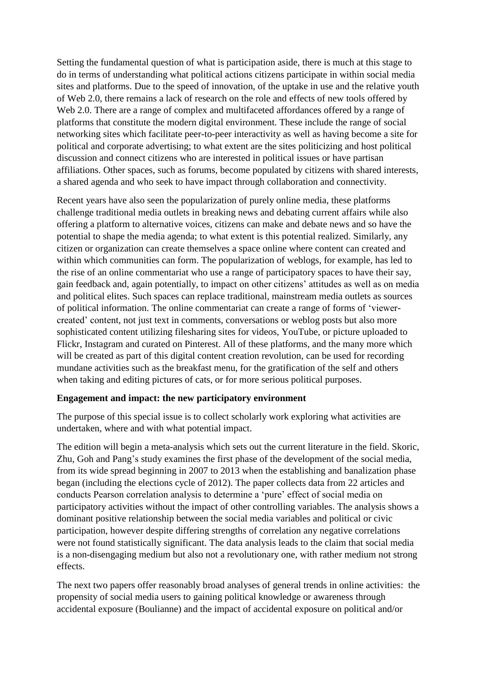Setting the fundamental question of what is participation aside, there is much at this stage to do in terms of understanding what political actions citizens participate in within social media sites and platforms. Due to the speed of innovation, of the uptake in use and the relative youth of Web 2.0, there remains a lack of research on the role and effects of new tools offered by Web 2.0. There are a range of complex and multifaceted affordances offered by a range of platforms that constitute the modern digital environment. These include the range of social networking sites which facilitate peer-to-peer interactivity as well as having become a site for political and corporate advertising; to what extent are the sites politicizing and host political discussion and connect citizens who are interested in political issues or have partisan affiliations. Other spaces, such as forums, become populated by citizens with shared interests, a shared agenda and who seek to have impact through collaboration and connectivity.

Recent years have also seen the popularization of purely online media, these platforms challenge traditional media outlets in breaking news and debating current affairs while also offering a platform to alternative voices, citizens can make and debate news and so have the potential to shape the media agenda; to what extent is this potential realized. Similarly, any citizen or organization can create themselves a space online where content can created and within which communities can form. The popularization of weblogs, for example, has led to the rise of an online commentariat who use a range of participatory spaces to have their say, gain feedback and, again potentially, to impact on other citizens' attitudes as well as on media and political elites. Such spaces can replace traditional, mainstream media outlets as sources of political information. The online commentariat can create a range of forms of 'viewercreated' content, not just text in comments, conversations or weblog posts but also more sophisticated content utilizing filesharing sites for videos, YouTube, or picture uploaded to Flickr, Instagram and curated on Pinterest. All of these platforms, and the many more which will be created as part of this digital content creation revolution, can be used for recording mundane activities such as the breakfast menu, for the gratification of the self and others when taking and editing pictures of cats, or for more serious political purposes.

#### **Engagement and impact: the new participatory environment**

The purpose of this special issue is to collect scholarly work exploring what activities are undertaken, where and with what potential impact.

The edition will begin a meta-analysis which sets out the current literature in the field. Skoric, Zhu, Goh and Pang's study examines the first phase of the development of the social media, from its wide spread beginning in 2007 to 2013 when the establishing and banalization phase began (including the elections cycle of 2012). The paper collects data from 22 articles and conducts Pearson correlation analysis to determine a 'pure' effect of social media on participatory activities without the impact of other controlling variables. The analysis shows a dominant positive relationship between the social media variables and political or civic participation, however despite differing strengths of correlation any negative correlations were not found statistically significant. The data analysis leads to the claim that social media is a non-disengaging medium but also not a revolutionary one, with rather medium not strong effects.

The next two papers offer reasonably broad analyses of general trends in online activities: the propensity of social media users to gaining political knowledge or awareness through accidental exposure (Boulianne) and the impact of accidental exposure on political and/or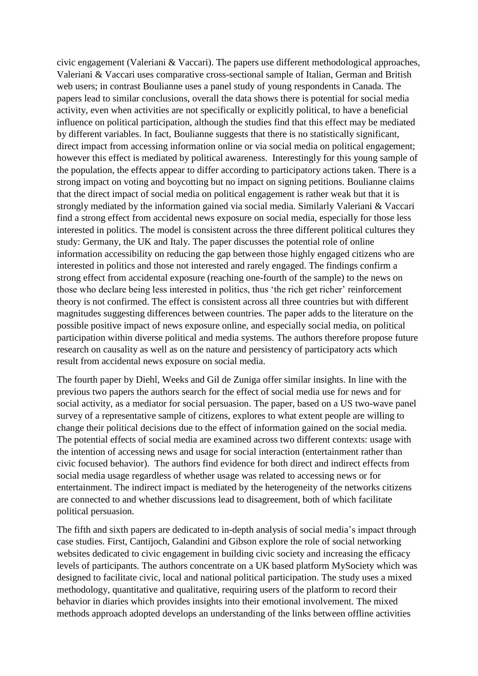civic engagement (Valeriani & Vaccari). The papers use different methodological approaches, Valeriani & Vaccari uses comparative cross-sectional sample of Italian, German and British web users; in contrast Boulianne uses a panel study of young respondents in Canada. The papers lead to similar conclusions, overall the data shows there is potential for social media activity, even when activities are not specifically or explicitly political, to have a beneficial influence on political participation, although the studies find that this effect may be mediated by different variables. In fact, Boulianne suggests that there is no statistically significant, direct impact from accessing information online or via social media on political engagement; however this effect is mediated by political awareness. Interestingly for this young sample of the population, the effects appear to differ according to participatory actions taken. There is a strong impact on voting and boycotting but no impact on signing petitions. Boulianne claims that the direct impact of social media on political engagement is rather weak but that it is strongly mediated by the information gained via social media. Similarly Valeriani & Vaccari find a strong effect from accidental news exposure on social media, especially for those less interested in politics. The model is consistent across the three different political cultures they study: Germany, the UK and Italy. The paper discusses the potential role of online information accessibility on reducing the gap between those highly engaged citizens who are interested in politics and those not interested and rarely engaged. The findings confirm a strong effect from accidental exposure (reaching one-fourth of the sample) to the news on those who declare being less interested in politics, thus 'the rich get richer' reinforcement theory is not confirmed. The effect is consistent across all three countries but with different magnitudes suggesting differences between countries. The paper adds to the literature on the possible positive impact of news exposure online, and especially social media, on political participation within diverse political and media systems. The authors therefore propose future research on causality as well as on the nature and persistency of participatory acts which result from accidental news exposure on social media.

The fourth paper by Diehl, Weeks and Gil de Zuniga offer similar insights. In line with the previous two papers the authors search for the effect of social media use for news and for social activity, as a mediator for social persuasion. The paper, based on a US two-wave panel survey of a representative sample of citizens, explores to what extent people are willing to change their political decisions due to the effect of information gained on the social media. The potential effects of social media are examined across two different contexts: usage with the intention of accessing news and usage for social interaction (entertainment rather than civic focused behavior). The authors find evidence for both direct and indirect effects from social media usage regardless of whether usage was related to accessing news or for entertainment. The indirect impact is mediated by the heterogeneity of the networks citizens are connected to and whether discussions lead to disagreement, both of which facilitate political persuasion.

The fifth and sixth papers are dedicated to in-depth analysis of social media's impact through case studies. First, Cantijoch, Galandini and Gibson explore the role of social networking websites dedicated to civic engagement in building civic society and increasing the efficacy levels of participants. The authors concentrate on a UK based platform MySociety which was designed to facilitate civic, local and national political participation. The study uses a mixed methodology, quantitative and qualitative, requiring users of the platform to record their behavior in diaries which provides insights into their emotional involvement. The mixed methods approach adopted develops an understanding of the links between offline activities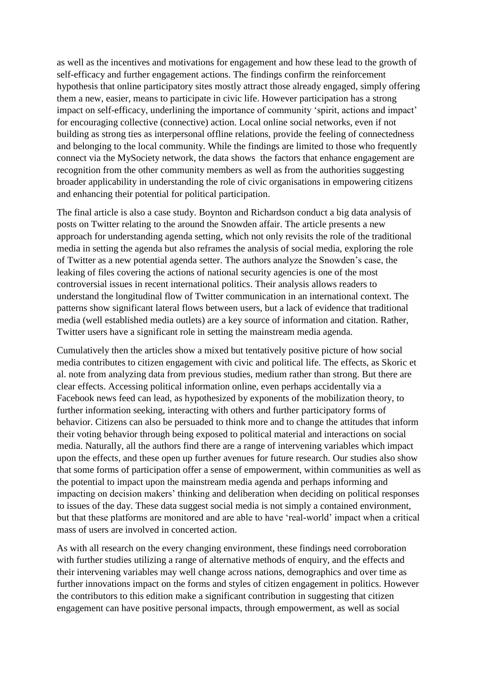as well as the incentives and motivations for engagement and how these lead to the growth of self-efficacy and further engagement actions. The findings confirm the reinforcement hypothesis that online participatory sites mostly attract those already engaged, simply offering them a new, easier, means to participate in civic life. However participation has a strong impact on self-efficacy, underlining the importance of community 'spirit, actions and impact' for encouraging collective (connective) action. Local online social networks, even if not building as strong ties as interpersonal offline relations, provide the feeling of connectedness and belonging to the local community. While the findings are limited to those who frequently connect via the MySociety network, the data shows the factors that enhance engagement are recognition from the other community members as well as from the authorities suggesting broader applicability in understanding the role of civic organisations in empowering citizens and enhancing their potential for political participation.

The final article is also a case study. Boynton and Richardson conduct a big data analysis of posts on Twitter relating to the around the Snowden affair. The article presents a new approach for understanding agenda setting, which not only revisits the role of the traditional media in setting the agenda but also reframes the analysis of social media, exploring the role of Twitter as a new potential agenda setter. The authors analyze the Snowden's case, the leaking of files covering the actions of national security agencies is one of the most controversial issues in recent international politics. Their analysis allows readers to understand the longitudinal flow of Twitter communication in an international context. The patterns show significant lateral flows between users, but a lack of evidence that traditional media (well established media outlets) are a key source of information and citation. Rather, Twitter users have a significant role in setting the mainstream media agenda.

Cumulatively then the articles show a mixed but tentatively positive picture of how social media contributes to citizen engagement with civic and political life. The effects, as Skoric et al. note from analyzing data from previous studies, medium rather than strong. But there are clear effects. Accessing political information online, even perhaps accidentally via a Facebook news feed can lead, as hypothesized by exponents of the mobilization theory, to further information seeking, interacting with others and further participatory forms of behavior. Citizens can also be persuaded to think more and to change the attitudes that inform their voting behavior through being exposed to political material and interactions on social media. Naturally, all the authors find there are a range of intervening variables which impact upon the effects, and these open up further avenues for future research. Our studies also show that some forms of participation offer a sense of empowerment, within communities as well as the potential to impact upon the mainstream media agenda and perhaps informing and impacting on decision makers' thinking and deliberation when deciding on political responses to issues of the day. These data suggest social media is not simply a contained environment, but that these platforms are monitored and are able to have 'real-world' impact when a critical mass of users are involved in concerted action.

As with all research on the every changing environment, these findings need corroboration with further studies utilizing a range of alternative methods of enquiry, and the effects and their intervening variables may well change across nations, demographics and over time as further innovations impact on the forms and styles of citizen engagement in politics. However the contributors to this edition make a significant contribution in suggesting that citizen engagement can have positive personal impacts, through empowerment, as well as social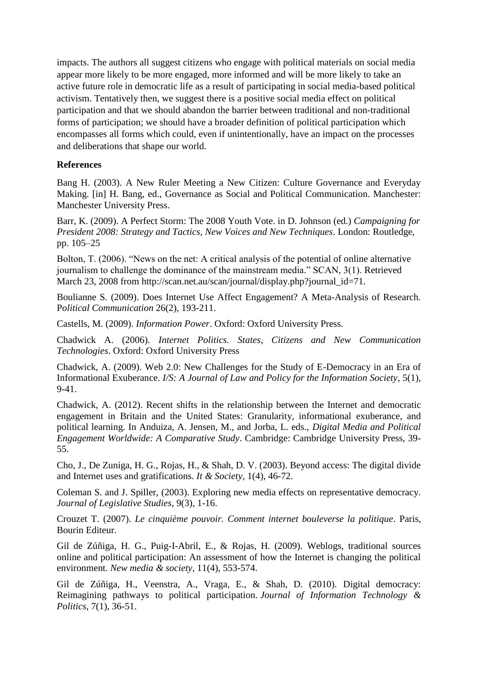impacts. The authors all suggest citizens who engage with political materials on social media appear more likely to be more engaged, more informed and will be more likely to take an active future role in democratic life as a result of participating in social media-based political activism. Tentatively then, we suggest there is a positive social media effect on political participation and that we should abandon the barrier between traditional and non-traditional forms of participation; we should have a broader definition of political participation which encompasses all forms which could, even if unintentionally, have an impact on the processes and deliberations that shape our world.

### **References**

Bang H. (2003). A New Ruler Meeting a New Citizen: Culture Governance and Everyday Making. [in] H. Bang, ed., Governance as Social and Political Communication. Manchester: Manchester University Press.

Barr, K. (2009). A Perfect Storm: The 2008 Youth Vote. in D. Johnson (ed.) *Campaigning for President 2008: Strategy and Tactics, New Voices and New Techniques*. London: Routledge, pp. 105–25

Bolton, T. (2006). "News on the net: A critical analysis of the potential of online alternative journalism to challenge the dominance of the mainstream media." SCAN, 3(1). Retrieved March 23, 2008 from http://scan.net.au/scan/journal/display.php?journal\_id=71.

Boulianne S. (2009). Does Internet Use Affect Engagement? A Meta-Analysis of Research. P*olitical Communication* 26(2), 193-211.

Castells, M. (2009). *Information Power*. Oxford: Oxford University Press.

Chadwick A. (2006). *Internet Politics. States, Citizens and New Communication Technologies*. Oxford: Oxford University Press

Chadwick, A. (2009). Web 2.0: New Challenges for the Study of E-Democracy in an Era of Informational Exuberance. *I/S: A Journal of Law and Policy for the Information Society*, 5(1), 9-41.

Chadwick, A. (2012). Recent shifts in the relationship between the Internet and democratic engagement in Britain and the United States: Granularity, informational exuberance, and political learning. In Anduiza, A. Jensen, M., and Jorba, L. eds., *Digital Media and Political Engagement Worldwide: A Comparative Study*. Cambridge: Cambridge University Press, 39- 55.

Cho, J., De Zuniga, H. G., Rojas, H., & Shah, D. V. (2003). Beyond access: The digital divide and Internet uses and gratifications. *It & Society*, 1(4), 46-72.

Coleman S. and J. Spiller, (2003). Exploring new media effects on representative democracy. *Journal of Legislative Studies*, 9(3), 1-16.

Crouzet T. (2007). *Le cinquième pouvoir. Comment internet bouleverse la politique*. Paris, Bourin Editeur.

Gil de Zúñiga, H. G., Puig-I-Abril, E., & Rojas, H. (2009). Weblogs, traditional sources online and political participation: An assessment of how the Internet is changing the political environment. *New media & society*, 11(4), 553-574.

Gil de Zúñiga, H., Veenstra, A., Vraga, E., & Shah, D. (2010). Digital democracy: Reimagining pathways to political participation. *Journal of Information Technology & Politics*, 7(1), 36-51.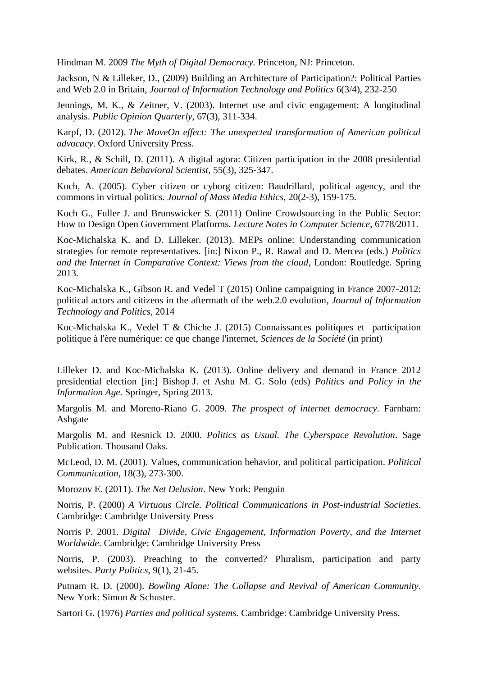Hindman M. 2009 *The Myth of Digital Democracy.* Princeton, NJ: Princeton.

Jackson, N & Lilleker, D., (2009) Building an Architecture of Participation?: Political Parties and Web 2.0 in Britain, *Journal of Information Technology and Politics* 6(3/4), 232-250

Jennings, M. K., & Zeitner, V. (2003). Internet use and civic engagement: A longitudinal analysis. *Public Opinion Quarterly*, 67(3), 311-334.

Karpf, D. (2012). *The MoveOn effect: The unexpected transformation of American political advocacy*. Oxford University Press.

Kirk, R., & Schill, D. (2011). A digital agora: Citizen participation in the 2008 presidential debates. *American Behavioral Scientist*, 55(3), 325-347.

Koch, A. (2005). Cyber citizen or cyborg citizen: Baudrillard, political agency, and the commons in virtual politics. *Journal of Mass Media Ethics*, 20(2-3), 159-175.

Koch G., Fuller J. and Brunswicker S. (2011) Online Crowdsourcing in the Public Sector: How to Design Open Government Platforms. *[Lecture Notes in Computer Science](http://www.springerlink.com/content/0302-9743/)*, 6778/2011.

Koc-Michalska K. and D. Lilleker. (2013). MEPs online: Understanding communication strategies for remote representatives. [in:] Nixon P., R. Rawal and D. Mercea (eds.) *Politics and the Internet in Comparative Context: Views from the cloud*, London: Routledge. Spring 2013.

Koc-Michalska K., Gibson R. and Vedel T (2015) Online campaigning in France 2007-2012: political actors and citizens in the aftermath of the web.2.0 evolution, *Journal of Information Technology and Politics*, 2014

Koc-Michalska K., Vedel T & Chiche J. (2015) Connaissances politiques et participation politique à l'ère numérique: ce que change l'internet, *Sciences de la Société* (in print)

Lilleker D. and Koc-Michalska K. (2013). Online delivery and demand in France 2012 presidential election [in:] Bishop J. et Ashu M. G. Solo (eds) *Politics and Policy in the Information Age.* Springer, Spring 2013.

Margolis M. and Moreno-Riano G. 2009. *The prospect of internet democracy*. Farnham: Ashgate

Margolis M. and Resnick D. 2000. *Politics as Usual. The Cyberspace Revolution*. Sage Publication. Thousand Oaks.

McLeod, D. M. (2001). Values, communication behavior, and political participation. *Political Communication*, 18(3), 273-300.

Morozov E. (2011). *The Net Delusion*. New York: Penguin

Norris, P. (2000) *A Virtuous Circle. Political Communications in Post-industrial Societies*. Cambridge: Cambridge University Press

Norris P. 2001. *Digital Divide, Civic Engagement, Information Poverty, and the Internet Worldwide*. Cambridge: Cambridge University Press

Norris, P. (2003). Preaching to the converted? Pluralism, participation and party websites. *Party Politics*, 9(1), 21-45.

Putnam R. D. (2000). *Bowling Alone: The Collapse and Revival of American Community*. New York: Simon & Schuster.

Sartori G. (1976) *Parties and political systems.* Cambridge: Cambridge University Press.